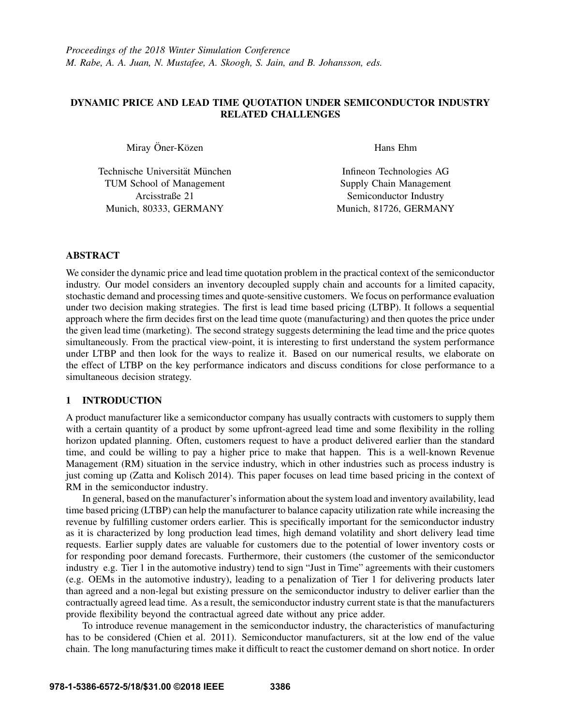## DYNAMIC PRICE AND LEAD TIME QUOTATION UNDER SEMICONDUCTOR INDUSTRY RELATED CHALLENGES

Miray Öner-Közen

Technische Universität München TUM School of Management Arcisstraße 21 Munich, 80333, GERMANY

Hans Ehm

Infineon Technologies AG Supply Chain Management Semiconductor Industry Munich, 81726, GERMANY

### ABSTRACT

We consider the dynamic price and lead time quotation problem in the practical context of the semiconductor industry. Our model considers an inventory decoupled supply chain and accounts for a limited capacity, stochastic demand and processing times and quote-sensitive customers. We focus on performance evaluation under two decision making strategies. The first is lead time based pricing (LTBP). It follows a sequential approach where the firm decides first on the lead time quote (manufacturing) and then quotes the price under the given lead time (marketing). The second strategy suggests determining the lead time and the price quotes simultaneously. From the practical view-point, it is interesting to first understand the system performance under LTBP and then look for the ways to realize it. Based on our numerical results, we elaborate on the effect of LTBP on the key performance indicators and discuss conditions for close performance to a simultaneous decision strategy.

## 1 INTRODUCTION

A product manufacturer like a semiconductor company has usually contracts with customers to supply them with a certain quantity of a product by some upfront-agreed lead time and some flexibility in the rolling horizon updated planning. Often, customers request to have a product delivered earlier than the standard time, and could be willing to pay a higher price to make that happen. This is a well-known Revenue Management (RM) situation in the service industry, which in other industries such as process industry is just coming up (Zatta and Kolisch 2014). This paper focuses on lead time based pricing in the context of RM in the semiconductor industry.

In general, based on the manufacturer's information about the system load and inventory availability, lead time based pricing (LTBP) can help the manufacturer to balance capacity utilization rate while increasing the revenue by fulfilling customer orders earlier. This is specifically important for the semiconductor industry as it is characterized by long production lead times, high demand volatility and short delivery lead time requests. Earlier supply dates are valuable for customers due to the potential of lower inventory costs or for responding poor demand forecasts. Furthermore, their customers (the customer of the semiconductor industry e.g. Tier 1 in the automotive industry) tend to sign "Just in Time" agreements with their customers (e.g. OEMs in the automotive industry), leading to a penalization of Tier 1 for delivering products later than agreed and a non-legal but existing pressure on the semiconductor industry to deliver earlier than the contractually agreed lead time. As a result, the semiconductor industry current state is that the manufacturers provide flexibility beyond the contractual agreed date without any price adder.

To introduce revenue management in the semiconductor industry, the characteristics of manufacturing has to be considered (Chien et al. 2011). Semiconductor manufacturers, sit at the low end of the value chain. The long manufacturing times make it difficult to react the customer demand on short notice. In order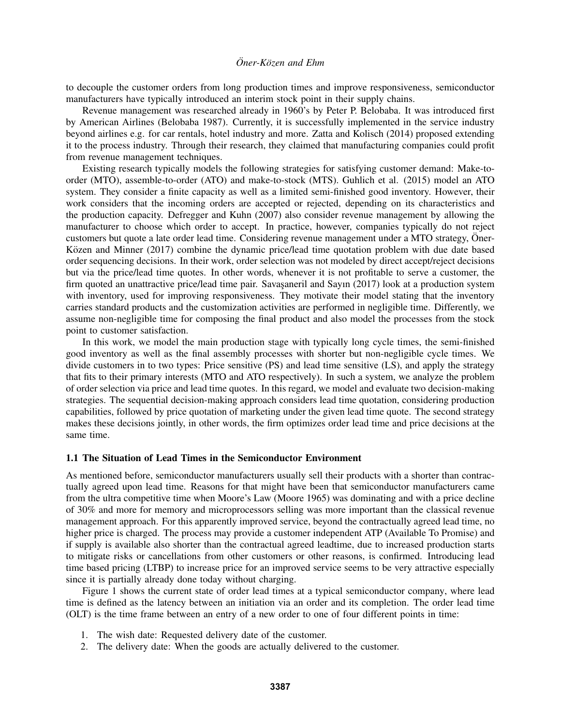to decouple the customer orders from long production times and improve responsiveness, semiconductor manufacturers have typically introduced an interim stock point in their supply chains.

Revenue management was researched already in 1960's by Peter P. Belobaba. It was introduced first by American Airlines (Belobaba 1987). Currently, it is successfully implemented in the service industry beyond airlines e.g. for car rentals, hotel industry and more. Zatta and Kolisch (2014) proposed extending it to the process industry. Through their research, they claimed that manufacturing companies could profit from revenue management techniques.

Existing research typically models the following strategies for satisfying customer demand: Make-toorder (MTO), assemble-to-order (ATO) and make-to-stock (MTS). Guhlich et al. (2015) model an ATO system. They consider a finite capacity as well as a limited semi-finished good inventory. However, their work considers that the incoming orders are accepted or rejected, depending on its characteristics and the production capacity. Defregger and Kuhn (2007) also consider revenue management by allowing the manufacturer to choose which order to accept. In practice, however, companies typically do not reject customers but quote a late order lead time. Considering revenue management under a MTO strategy, Öner-Közen and Minner (2017) combine the dynamic price/lead time quotation problem with due date based order sequencing decisions. In their work, order selection was not modeled by direct accept/reject decisions but via the price/lead time quotes. In other words, whenever it is not profitable to serve a customer, the firm quoted an unattractive price/lead time pair. Savasaneril and Sayın (2017) look at a production system with inventory, used for improving responsiveness. They motivate their model stating that the inventory carries standard products and the customization activities are performed in negligible time. Differently, we assume non-negligible time for composing the final product and also model the processes from the stock point to customer satisfaction.

In this work, we model the main production stage with typically long cycle times, the semi-finished good inventory as well as the final assembly processes with shorter but non-negligible cycle times. We divide customers in to two types: Price sensitive (PS) and lead time sensitive (LS), and apply the strategy that fits to their primary interests (MTO and ATO respectively). In such a system, we analyze the problem of order selection via price and lead time quotes. In this regard, we model and evaluate two decision-making strategies. The sequential decision-making approach considers lead time quotation, considering production capabilities, followed by price quotation of marketing under the given lead time quote. The second strategy makes these decisions jointly, in other words, the firm optimizes order lead time and price decisions at the same time.

### 1.1 The Situation of Lead Times in the Semiconductor Environment

As mentioned before, semiconductor manufacturers usually sell their products with a shorter than contractually agreed upon lead time. Reasons for that might have been that semiconductor manufacturers came from the ultra competitive time when Moore's Law (Moore 1965) was dominating and with a price decline of 30% and more for memory and microprocessors selling was more important than the classical revenue management approach. For this apparently improved service, beyond the contractually agreed lead time, no higher price is charged. The process may provide a customer independent ATP (Available To Promise) and if supply is available also shorter than the contractual agreed leadtime, due to increased production starts to mitigate risks or cancellations from other customers or other reasons, is confirmed. Introducing lead time based pricing (LTBP) to increase price for an improved service seems to be very attractive especially since it is partially already done today without charging.

Figure 1 shows the current state of order lead times at a typical semiconductor company, where lead time is defined as the latency between an initiation via an order and its completion. The order lead time (OLT) is the time frame between an entry of a new order to one of four different points in time:

- 1. The wish date: Requested delivery date of the customer.
- 2. The delivery date: When the goods are actually delivered to the customer.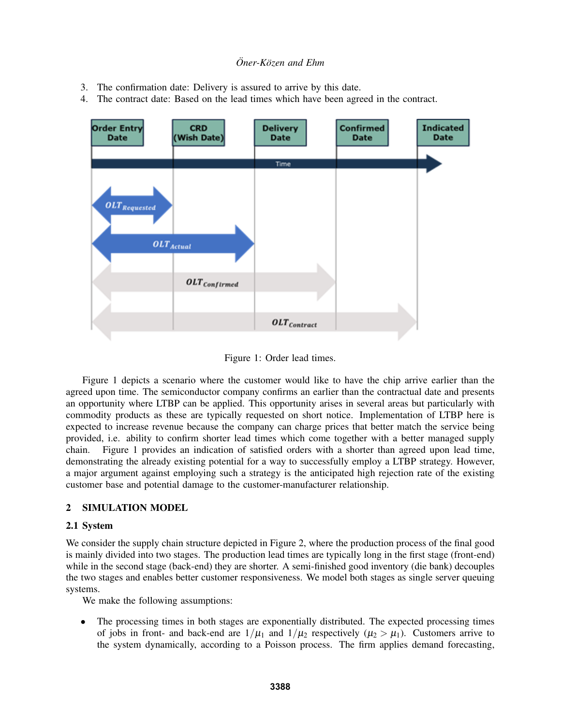- 3. The confirmation date: Delivery is assured to arrive by this date.
- 4. The contract date: Based on the lead times which have been agreed in the contract.



Figure 1: Order lead times.

Figure 1 depicts a scenario where the customer would like to have the chip arrive earlier than the agreed upon time. The semiconductor company confirms an earlier than the contractual date and presents an opportunity where LTBP can be applied. This opportunity arises in several areas but particularly with commodity products as these are typically requested on short notice. Implementation of LTBP here is expected to increase revenue because the company can charge prices that better match the service being provided, i.e. ability to confirm shorter lead times which come together with a better managed supply chain. Figure 1 provides an indication of satisfied orders with a shorter than agreed upon lead time, demonstrating the already existing potential for a way to successfully employ a LTBP strategy. However, a major argument against employing such a strategy is the anticipated high rejection rate of the existing customer base and potential damage to the customer-manufacturer relationship.

## 2 SIMULATION MODEL

## 2.1 System

We consider the supply chain structure depicted in Figure 2, where the production process of the final good is mainly divided into two stages. The production lead times are typically long in the first stage (front-end) while in the second stage (back-end) they are shorter. A semi-finished good inventory (die bank) decouples the two stages and enables better customer responsiveness. We model both stages as single server queuing systems.

We make the following assumptions:

• The processing times in both stages are exponentially distributed. The expected processing times of jobs in front- and back-end are  $1/\mu_1$  and  $1/\mu_2$  respectively ( $\mu_2 > \mu_1$ ). Customers arrive to the system dynamically, according to a Poisson process. The firm applies demand forecasting,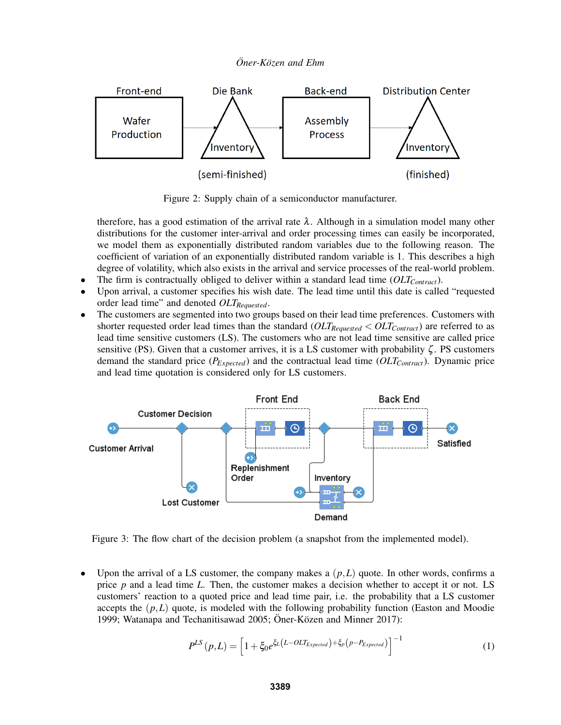

Figure 2: Supply chain of a semiconductor manufacturer.

therefore, has a good estimation of the arrival rate  $\lambda$ . Although in a simulation model many other distributions for the customer inter-arrival and order processing times can easily be incorporated, we model them as exponentially distributed random variables due to the following reason. The coefficient of variation of an exponentially distributed random variable is 1. This describes a high degree of volatility, which also exists in the arrival and service processes of the real-world problem.

- The firm is contractually obliged to deliver within a standard lead time (*OLTContract*).
- Upon arrival, a customer specifies his wish date. The lead time until this date is called "requested order lead time" and denoted *OLTRequested*.
- The customers are segmented into two groups based on their lead time preferences. Customers with shorter requested order lead times than the standard (*OLTRequested* < *OLTContract*) are referred to as lead time sensitive customers (LS). The customers who are not lead time sensitive are called price sensitive (PS). Given that a customer arrives, it is a LS customer with probability  $\zeta$ . PS customers demand the standard price (*PExpected*) and the contractual lead time (*OLTContract*). Dynamic price and lead time quotation is considered only for LS customers.



Figure 3: The flow chart of the decision problem (a snapshot from the implemented model).

Upon the arrival of a LS customer, the company makes a  $(p, L)$  quote. In other words, confirms a price *p* and a lead time *L*. Then, the customer makes a decision whether to accept it or not. LS customers' reaction to a quoted price and lead time pair, i.e. the probability that a LS customer accepts the  $(p, L)$  quote, is modeled with the following probability function (Easton and Moodie 1999; Watanapa and Techanitisawad 2005; Öner-Közen and Minner 2017):

$$
P^{LS}(p,L) = \left[1 + \xi_0 e^{\xi_L (L - OLT_{Expected}) + \xi_p (p - P_{Expected})}\right]^{-1}
$$
\n(1)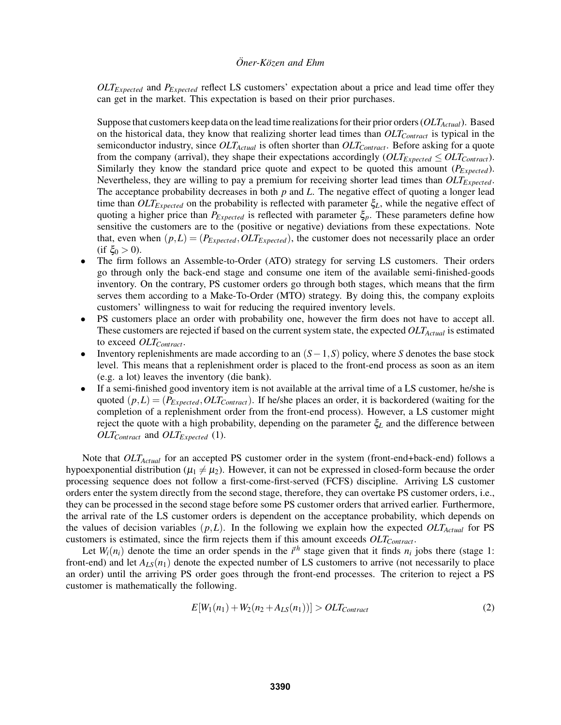#### *Öner-Közen and Ehm*

*OLTExpected* and *PExpected* reflect LS customers' expectation about a price and lead time offer they can get in the market. This expectation is based on their prior purchases.

Suppose that customers keep data on the lead time realizations for their prior orders (*OLTActual*). Based on the historical data, they know that realizing shorter lead times than *OLTContract* is typical in the semiconductor industry, since *OLTActual* is often shorter than *OLTContract*. Before asking for a quote from the company (arrival), they shape their expectations accordingly  $(OLT_{Expected} \leq OLT_{Contract})$ . Similarly they know the standard price quote and expect to be quoted this amount (*PExpected*). Nevertheless, they are willing to pay a premium for receiving shorter lead times than *OLTExpected*. The acceptance probability decreases in both *p* and *L*. The negative effect of quoting a longer lead time than  $OLT_{Expected}$  on the probability is reflected with parameter  $\xi_L$ , while the negative effect of quoting a higher price than  $P_{Expected}$  is reflected with parameter  $\xi_p$ . These parameters define how sensitive the customers are to the (positive or negative) deviations from these expectations. Note that, even when  $(p, L) = (P_{Expected}, OLT_{Expected})$ , the customer does not necessarily place an order (if  $\xi_0 > 0$ ).

- The firm follows an Assemble-to-Order (ATO) strategy for serving LS customers. Their orders go through only the back-end stage and consume one item of the available semi-finished-goods inventory. On the contrary, PS customer orders go through both stages, which means that the firm serves them according to a Make-To-Order (MTO) strategy. By doing this, the company exploits customers' willingness to wait for reducing the required inventory levels.
- PS customers place an order with probability one, however the firm does not have to accept all. These customers are rejected if based on the current system state, the expected *OLTActual* is estimated to exceed *OLTContract*.
- Inventory replenishments are made according to an  $(S-1, S)$  policy, where *S* denotes the base stock level. This means that a replenishment order is placed to the front-end process as soon as an item (e.g. a lot) leaves the inventory (die bank).
- If a semi-finished good inventory item is not available at the arrival time of a LS customer, he/she is quoted  $(p, L) = (P_{Expected}, OLT_{Contract})$ . If he/she places an order, it is backordered (waiting for the completion of a replenishment order from the front-end process). However, a LS customer might reject the quote with a high probability, depending on the parameter ξ*<sup>L</sup>* and the difference between *OLTContract* and *OLTExpected* (1).

Note that *OLTActual* for an accepted PS customer order in the system (front-end+back-end) follows a hypoexponential distribution ( $\mu_1 \neq \mu_2$ ). However, it can not be expressed in closed-form because the order processing sequence does not follow a first-come-first-served (FCFS) discipline. Arriving LS customer orders enter the system directly from the second stage, therefore, they can overtake PS customer orders, i.e., they can be processed in the second stage before some PS customer orders that arrived earlier. Furthermore, the arrival rate of the LS customer orders is dependent on the acceptance probability, which depends on the values of decision variables  $(p, L)$ . In the following we explain how the expected *OLT*<sub>Actual</sub> for PS customers is estimated, since the firm rejects them if this amount exceeds *OLTContract*.

Let  $W_i(n_i)$  denote the time an order spends in the *i*<sup>th</sup> stage given that it finds  $n_i$  jobs there (stage 1: front-end) and let  $A_{LS}(n_1)$  denote the expected number of LS customers to arrive (not necessarily to place an order) until the arriving PS order goes through the front-end processes. The criterion to reject a PS customer is mathematically the following.

$$
E[W_1(n_1) + W_2(n_2 + A_{LS}(n_1))] > OLT_{Contract}
$$
\n(2)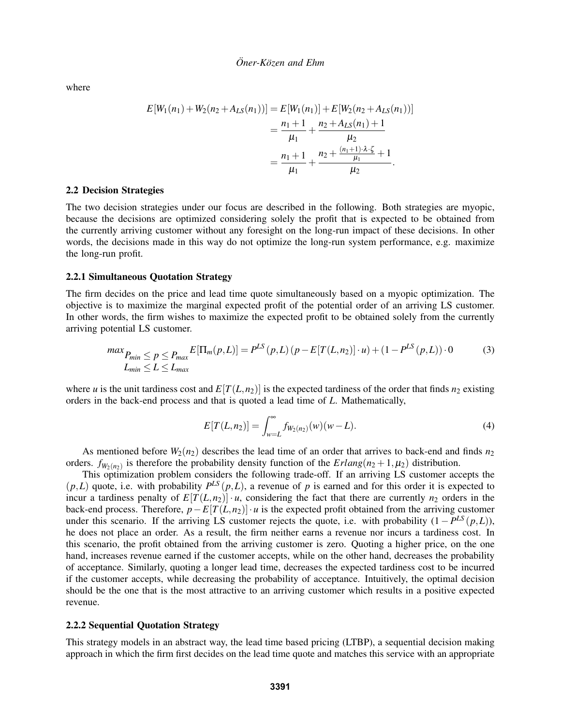where

$$
E[W_1(n_1) + W_2(n_2 + A_{LS}(n_1))] = E[W_1(n_1)] + E[W_2(n_2 + A_{LS}(n_1))]
$$
  
=  $\frac{n_1 + 1}{\mu_1} + \frac{n_2 + A_{LS}(n_1) + 1}{\mu_2}$   
=  $\frac{n_1 + 1}{\mu_1} + \frac{n_2 + \frac{(n_1 + 1) \cdot \lambda \cdot \zeta}{\mu_1} + 1}{\mu_2}$ .

#### 2.2 Decision Strategies

The two decision strategies under our focus are described in the following. Both strategies are myopic, because the decisions are optimized considering solely the profit that is expected to be obtained from the currently arriving customer without any foresight on the long-run impact of these decisions. In other words, the decisions made in this way do not optimize the long-run system performance, e.g. maximize the long-run profit.

#### 2.2.1 Simultaneous Quotation Strategy

The firm decides on the price and lead time quote simultaneously based on a myopic optimization. The objective is to maximize the marginal expected profit of the potential order of an arriving LS customer. In other words, the firm wishes to maximize the expected profit to be obtained solely from the currently arriving potential LS customer.

$$
\max_{P_{min}} \le p \le P_{max} E[\Pi_m(p, L)] = P^{LS}(p, L)(p - E[T(L, n_2)] \cdot u) + (1 - P^{LS}(p, L)) \cdot 0 \tag{3}
$$
  

$$
L_{min} \le L \le L_{max}
$$

where *u* is the unit tardiness cost and  $E[T(L, n<sub>2</sub>)]$  is the expected tardiness of the order that finds  $n<sub>2</sub>$  existing orders in the back-end process and that is quoted a lead time of *L*. Mathematically,

$$
E[T(L, n_2)] = \int_{w=L}^{\infty} f_{W_2(n_2)}(w)(w - L).
$$
 (4)

As mentioned before  $W_2(n_2)$  describes the lead time of an order that arrives to back-end and finds  $n_2$ orders.  $f_{W_2(n_2)}$  is therefore the probability density function of the  $Erlang(n_2+1,\mu_2)$  distribution.

This optimization problem considers the following trade-off. If an arriving LS customer accepts the  $(p,L)$  quote, i.e. with probability  $P^{LS}(p,L)$ , a revenue of p is earned and for this order it is expected to incur a tardiness penalty of  $E[T(L,n_2)] \cdot u$ , considering the fact that there are currently  $n_2$  orders in the back-end process. Therefore,  $p$ −*E*[*T*(*L*,*n*<sub>2</sub>)]  $\cdot$ *u* is the expected profit obtained from the arriving customer under this scenario. If the arriving LS customer rejects the quote, i.e. with probability  $(1 - P^{LS}(p, L))$ , he does not place an order. As a result, the firm neither earns a revenue nor incurs a tardiness cost. In this scenario, the profit obtained from the arriving customer is zero. Quoting a higher price, on the one hand, increases revenue earned if the customer accepts, while on the other hand, decreases the probability of acceptance. Similarly, quoting a longer lead time, decreases the expected tardiness cost to be incurred if the customer accepts, while decreasing the probability of acceptance. Intuitively, the optimal decision should be the one that is the most attractive to an arriving customer which results in a positive expected revenue.

#### 2.2.2 Sequential Quotation Strategy

This strategy models in an abstract way, the lead time based pricing (LTBP), a sequential decision making approach in which the firm first decides on the lead time quote and matches this service with an appropriate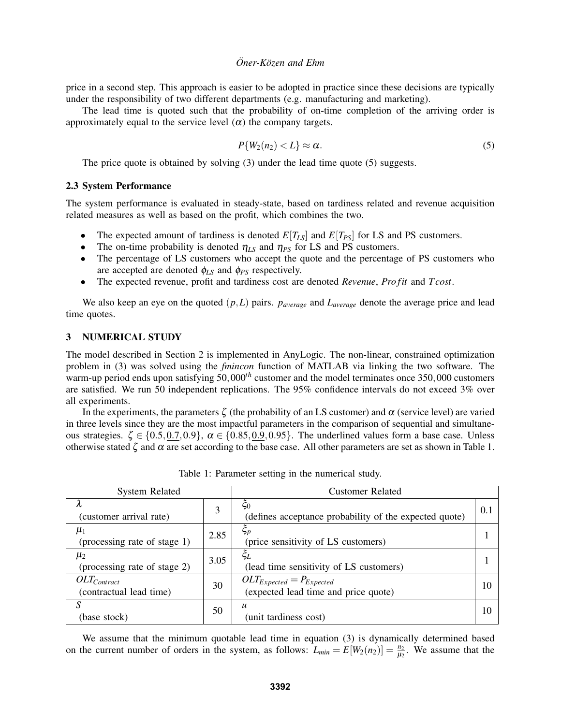price in a second step. This approach is easier to be adopted in practice since these decisions are typically under the responsibility of two different departments (e.g. manufacturing and marketing).

The lead time is quoted such that the probability of on-time completion of the arriving order is approximately equal to the service level  $(\alpha)$  the company targets.

$$
P\{W_2(n_2) < L\} \approx \alpha. \tag{5}
$$

The price quote is obtained by solving (3) under the lead time quote (5) suggests.

### 2.3 System Performance

The system performance is evaluated in steady-state, based on tardiness related and revenue acquisition related measures as well as based on the profit, which combines the two.

- The expected amount of tardiness is denoted  $E[T_{LS}]$  and  $E[T_{PS}]$  for LS and PS customers.
- The on-time probability is denoted  $\eta_{LS}$  and  $\eta_{PS}$  for LS and PS customers.
- The percentage of LS customers who accept the quote and the percentage of PS customers who are accepted are denoted φ*LS* and φ*PS* respectively.
- The expected revenue, profit and tardiness cost are denoted *Revenue*, *Pro fit* and *T cost*.

We also keep an eye on the quoted (*p*,*L*) pairs. *paverage* and *Laverage* denote the average price and lead time quotes.

## 3 NUMERICAL STUDY

The model described in Section 2 is implemented in AnyLogic. The non-linear, constrained optimization problem in (3) was solved using the *fmincon* function of MATLAB via linking the two software. The warm-up period ends upon satisfying 50,000*th* customer and the model terminates once 350,000 customers are satisfied. We run 50 independent replications. The 95% confidence intervals do not exceed 3% over all experiments.

In the experiments, the parameters  $\zeta$  (the probability of an LS customer) and  $\alpha$  (service level) are varied in three levels since they are the most impactful parameters in the comparison of sequential and simultaneous strategies.  $\zeta \in \{0.5, 0.7, 0.9\}, \alpha \in \{0.85, 0.9, 0.95\}.$  The underlined values form a base case. Unless otherwise stated  $\zeta$  and  $\alpha$  are set according to the base case. All other parameters are set as shown in Table 1.

| <b>System Related</b>                       |      | <b>Customer Related</b>                                                 |     |  |  |  |  |
|---------------------------------------------|------|-------------------------------------------------------------------------|-----|--|--|--|--|
| λ<br>(customer arrival rate)                | 3    | $\xi_0$<br>(defines acceptance probability of the expected quote)       | 0.1 |  |  |  |  |
| $\mu_1$<br>(processing rate of stage 1)     | 2.85 | $\xi_p$<br>(price sensitivity of LS customers)                          |     |  |  |  |  |
| $\mu_2$<br>(processing rate of stage 2)     | 3.05 | $\xi_L$<br>(lead time sensitivity of LS customers)                      |     |  |  |  |  |
| $OLT_{Contract}$<br>(contractual lead time) | 30   | $OLT_{Expected} = P_{Expected}$<br>(expected lead time and price quote) | 10  |  |  |  |  |
| S<br>(base stock)                           | 50   | $\boldsymbol{u}$<br>(unit tardiness cost)                               | 10  |  |  |  |  |

Table 1: Parameter setting in the numerical study.

We assume that the minimum quotable lead time in equation (3) is dynamically determined based on the current number of orders in the system, as follows:  $L_{min} = E[W_2(n_2)] = \frac{n_2}{\mu_2}$ . We assume that the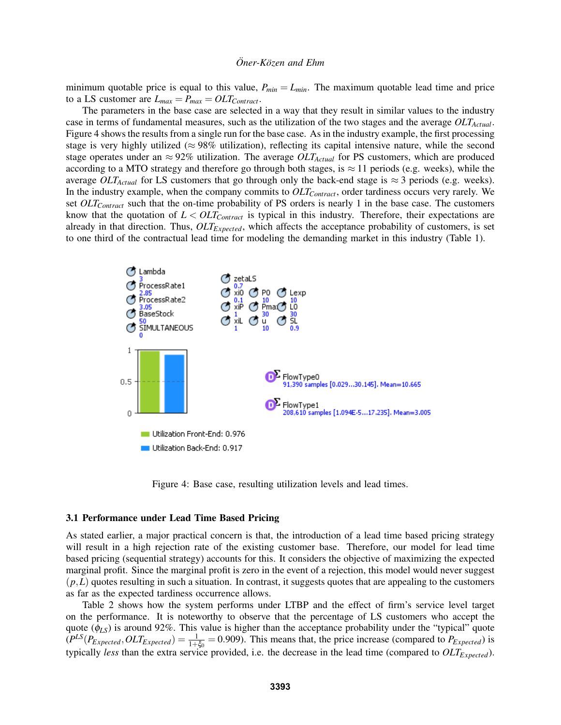#### *Öner-Közen and Ehm*

minimum quotable price is equal to this value,  $P_{min} = L_{min}$ . The maximum quotable lead time and price to a LS customer are  $L_{max} = P_{max} = OLT_{Contract}$ .

The parameters in the base case are selected in a way that they result in similar values to the industry case in terms of fundamental measures, such as the utilization of the two stages and the average *OLTActual*. Figure 4 shows the results from a single run for the base case. As in the industry example, the first processing stage is very highly utilized ( $\approx 98\%$  utilization), reflecting its capital intensive nature, while the second stage operates under an  $\approx 92\%$  utilization. The average  $OLT_{Actual}$  for PS customers, which are produced according to a MTO strategy and therefore go through both stages, is  $\approx$  11 periods (e.g. weeks), while the average *OLT*<sub>Actual</sub> for LS customers that go through only the back-end stage is  $\approx$  3 periods (e.g. weeks). In the industry example, when the company commits to *OLTContract*, order tardiness occurs very rarely. We set *OLTContract* such that the on-time probability of PS orders is nearly 1 in the base case. The customers know that the quotation of  $L < 0LT_{Contract}$  is typical in this industry. Therefore, their expectations are already in that direction. Thus, *OLTExpected*, which affects the acceptance probability of customers, is set to one third of the contractual lead time for modeling the demanding market in this industry (Table 1).



Figure 4: Base case, resulting utilization levels and lead times.

#### 3.1 Performance under Lead Time Based Pricing

As stated earlier, a major practical concern is that, the introduction of a lead time based pricing strategy will result in a high rejection rate of the existing customer base. Therefore, our model for lead time based pricing (sequential strategy) accounts for this. It considers the objective of maximizing the expected marginal profit. Since the marginal profit is zero in the event of a rejection, this model would never suggest  $(p, L)$  quotes resulting in such a situation. In contrast, it suggests quotes that are appealing to the customers as far as the expected tardiness occurrence allows.

Table 2 shows how the system performs under LTBP and the effect of firm's service level target on the performance. It is noteworthy to observe that the percentage of LS customers who accept the quote (φ*LS*) is around 92%. This value is higher than the acceptance probability under the "typical" quote  $(P^{LS}(P_{Expected},OLT_{Expected}) = \frac{1}{1+\xi_0} = 0.909)$ . This means that, the price increase (compared to  $P_{Expected}$ ) is typically *less* than the extra service provided, i.e. the decrease in the lead time (compared to *OLTExpected*).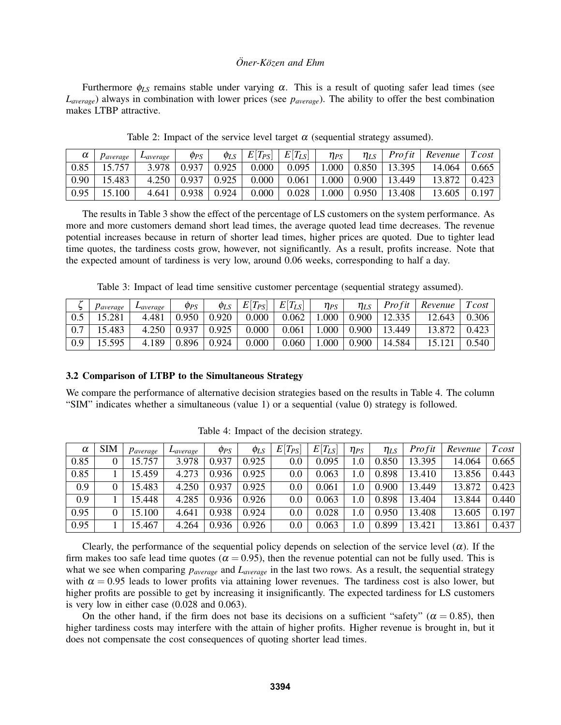Furthermore  $\phi_{LS}$  remains stable under varying  $\alpha$ . This is a result of quoting safer lead times (see *Laverage*) always in combination with lower prices (see *paverage*). The ability to offer the best combination makes LTBP attractive.

| α    | Paverage | $L$ average | $\varphi_{PS}$     | $\phi_{LS}$ | $E[T_{PS}]$ | $E[T_{LS}]$ | $\eta_{PS}$  | $\eta_{LS}$ |        | <i>Profit</i>   <i>Revenue</i> | $T\cos t$ |
|------|----------|-------------|--------------------|-------------|-------------|-------------|--------------|-------------|--------|--------------------------------|-----------|
| 0.85 | 15.757   | 3.978       | 0.937              | 0.925       | 0.000       | 0.095       | 1.000        | $0.850$     | 13.395 | 14.064                         | 0.665     |
| 0.90 | 15.483   |             | $4.250 \mid 0.937$ | 0.925       | 0.000       | $0.061$     | $\mid$ 1.000 | 0.900       | 13.449 | 13.872                         | 0.423     |
| 0.95 | 15.100   | 4.641       | 0.938              | 0.924       | 0.000       | 0.028       | 1.000        | $0.950$     | 13.408 | 13.605                         | 0.197     |

Table 2: Impact of the service level target  $\alpha$  (sequential strategy assumed).

The results in Table 3 show the effect of the percentage of LS customers on the system performance. As more and more customers demand short lead times, the average quoted lead time decreases. The revenue potential increases because in return of shorter lead times, higher prices are quoted. Due to tighter lead time quotes, the tardiness costs grow, however, not significantly. As a result, profits increase. Note that the expected amount of tardiness is very low, around 0.06 weeks, corresponding to half a day.

Table 3: Impact of lead time sensitive customer percentage (sequential strategy assumed).

|     | Paverage | $\mu$ <sub>average</sub> | $\varphi_{PS}$ | $\varphi_{LS}$ | $T_{PS}$<br>$E^{\gamma}$ | $E[T_{LS}]$ | $\eta_{PS}$ | $\eta_{LS}$ | Pro fit | Revenue | Tcost |
|-----|----------|--------------------------|----------------|----------------|--------------------------|-------------|-------------|-------------|---------|---------|-------|
| U.S | 5.281    | 4.481                    | 0.950          | 0.920          | 0.000                    | 0.062       | .000        | 0.900       | 12.335  | 12.643  | 0.306 |
|     | 5.483    | 4.250                    | 0.937          | 0.925          | 0.000                    | 0.061       | .000        | 0.900       | 13.449  |         | 0.423 |
| 0.9 | 15.595   | 4.189                    | 0.896          | 0.924          | 0.000                    | 0.060       | 000.1       | 0.900       | 14.584  |         | 0.540 |

### 3.2 Comparison of LTBP to the Simultaneous Strategy

We compare the performance of alternative decision strategies based on the results in Table 4. The column "SIM" indicates whether a simultaneous (value 1) or a sequential (value 0) strategy is followed.

| $\alpha$ | <b>SIM</b> | Paverage | $\mu_{average}$ | $\varphi_{PS}$ | $\varphi_{LS}$ | $E[T_{PS}]$ | $E[T_{LS}]$ | $\eta_{PS}$ | $\eta_{LS}$ | Profit | Revenue | Tcost |
|----------|------------|----------|-----------------|----------------|----------------|-------------|-------------|-------------|-------------|--------|---------|-------|
| 0.85     | 0          | 15.757   | 3.978           | 0.937          | 0.925          | $0.0\,$     | 0.095       | 0.1         | 0.850       | 13.395 | 14.064  | 0.665 |
| 0.85     |            | 15.459   | 4.273           | 0.936          | 0.925          | $0.0\,$     | 0.063       | 0.1         | 0.898       | 13.410 | 13.856  | 0.443 |
| 0.9      | 0          | 15.483   | 4.250           | 0.937          | 0.925          | $0.0\,$     | 0.061       | 0.1         | 0.900       | 13.449 | 13.872  | 0.423 |
| 0.9      |            | 15.448   | 4.285           | 0.936          | 0.926          | $0.0\,$     | 0.063       | . 0         | 0.898       | 13.404 | 13.844  | 0.440 |
| 0.95     | 0          | 15.100   | 4.641           | 0.938          | 0.924          | $0.0\,$     | $0.028\,$   | 1.0         | 0.950       | 13.408 | 13.605  | 0.197 |
| 0.95     |            | 15.467   | 4.264           | 0.936          | 0.926          | $0.0\,$     | 0.063       | 0.1         | 0.899       | 13.421 | 13.861  | 0.437 |

Table 4: Impact of the decision strategy.

Clearly, the performance of the sequential policy depends on selection of the service level  $(\alpha)$ . If the firm makes too safe lead time quotes ( $\alpha = 0.95$ ), then the revenue potential can not be fully used. This is what we see when comparing *paverage* and *Laverage* in the last two rows. As a result, the sequential strategy with  $\alpha = 0.95$  leads to lower profits via attaining lower revenues. The tardiness cost is also lower, but higher profits are possible to get by increasing it insignificantly. The expected tardiness for LS customers is very low in either case (0.028 and 0.063).

On the other hand, if the firm does not base its decisions on a sufficient "safety" ( $\alpha = 0.85$ ), then higher tardiness costs may interfere with the attain of higher profits. Higher revenue is brought in, but it does not compensate the cost consequences of quoting shorter lead times.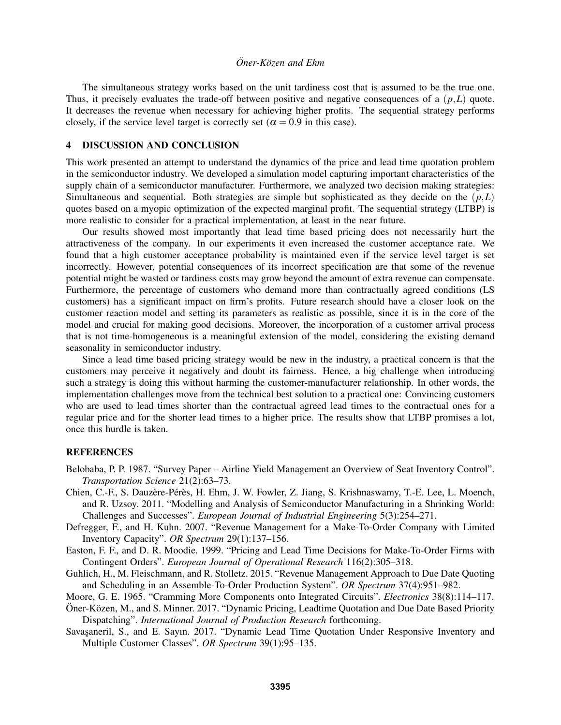The simultaneous strategy works based on the unit tardiness cost that is assumed to be the true one. Thus, it precisely evaluates the trade-off between positive and negative consequences of a (*p*,*L*) quote. It decreases the revenue when necessary for achieving higher profits. The sequential strategy performs closely, if the service level target is correctly set ( $\alpha = 0.9$  in this case).

### 4 DISCUSSION AND CONCLUSION

This work presented an attempt to understand the dynamics of the price and lead time quotation problem in the semiconductor industry. We developed a simulation model capturing important characteristics of the supply chain of a semiconductor manufacturer. Furthermore, we analyzed two decision making strategies: Simultaneous and sequential. Both strategies are simple but sophisticated as they decide on the (*p*,*L*) quotes based on a myopic optimization of the expected marginal profit. The sequential strategy (LTBP) is more realistic to consider for a practical implementation, at least in the near future.

Our results showed most importantly that lead time based pricing does not necessarily hurt the attractiveness of the company. In our experiments it even increased the customer acceptance rate. We found that a high customer acceptance probability is maintained even if the service level target is set incorrectly. However, potential consequences of its incorrect specification are that some of the revenue potential might be wasted or tardiness costs may grow beyond the amount of extra revenue can compensate. Furthermore, the percentage of customers who demand more than contractually agreed conditions (LS customers) has a significant impact on firm's profits. Future research should have a closer look on the customer reaction model and setting its parameters as realistic as possible, since it is in the core of the model and crucial for making good decisions. Moreover, the incorporation of a customer arrival process that is not time-homogeneous is a meaningful extension of the model, considering the existing demand seasonality in semiconductor industry.

Since a lead time based pricing strategy would be new in the industry, a practical concern is that the customers may perceive it negatively and doubt its fairness. Hence, a big challenge when introducing such a strategy is doing this without harming the customer-manufacturer relationship. In other words, the implementation challenges move from the technical best solution to a practical one: Convincing customers who are used to lead times shorter than the contractual agreed lead times to the contractual ones for a regular price and for the shorter lead times to a higher price. The results show that LTBP promises a lot, once this hurdle is taken.

#### **REFERENCES**

- Belobaba, P. P. 1987. "Survey Paper Airline Yield Management an Overview of Seat Inventory Control". *Transportation Science* 21(2):63–73.
- Chien, C.-F., S. Dauzère-Pérès, H. Ehm, J. W. Fowler, Z. Jiang, S. Krishnaswamy, T.-E. Lee, L. Moench, and R. Uzsoy. 2011. "Modelling and Analysis of Semiconductor Manufacturing in a Shrinking World: Challenges and Successes". *European Journal of Industrial Engineering* 5(3):254–271.
- Defregger, F., and H. Kuhn. 2007. "Revenue Management for a Make-To-Order Company with Limited Inventory Capacity". *OR Spectrum* 29(1):137–156.
- Easton, F. F., and D. R. Moodie. 1999. "Pricing and Lead Time Decisions for Make-To-Order Firms with Contingent Orders". *European Journal of Operational Research* 116(2):305–318.
- Guhlich, H., M. Fleischmann, and R. Stolletz. 2015. "Revenue Management Approach to Due Date Quoting and Scheduling in an Assemble-To-Order Production System". *OR Spectrum* 37(4):951–982.
- Moore, G. E. 1965. "Cramming More Components onto Integrated Circuits". *Electronics* 38(8):114–117.
- Öner-Közen, M., and S. Minner. 2017. "Dynamic Pricing, Leadtime Quotation and Due Date Based Priority Dispatching". *International Journal of Production Research* forthcoming.
- Savasaneril, S., and E. Sayın. 2017. "Dynamic Lead Time Quotation Under Responsive Inventory and Multiple Customer Classes". *OR Spectrum* 39(1):95–135.